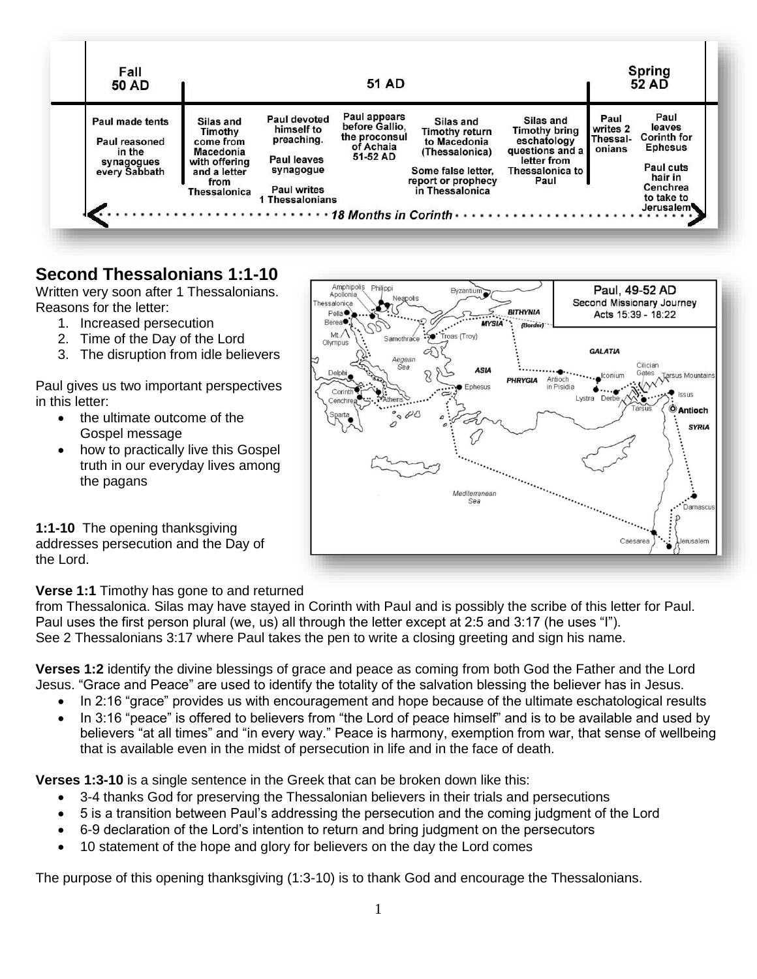

Philippi

Amphipolis

# **Second Thessalonians 1:1-10**

Written very soon after 1 Thessalonians. Reasons for the letter:

- 1. Increased persecution
- 2. Time of the Day of the Lord
- 3. The disruption from idle believers

Paul gives us two important perspectives in this letter:

- the ultimate outcome of the Gospel message
- how to practically live this Gospel truth in our everyday lives among the pagans

Apollonia Neapolis ssalonica Second Missionary Journey ببجبه **RITHVNIA**  $Pella$ Acts 15:39 - 18:22 **Berea● MYSIA** Š レ  $ML$ oas (Troy) Samothr Olympus **GALATIA** Q Aegean Cilician<br>m Gates<br>MACO Tarsus Mountains<br>MACO Tasus **ASIA** conium Antioch<br>in Pisidia PHRYGIA Enhoque ф. Corinth  $\ddotsc$ Lystra Derbe Cenchre **O** Antioch **SYRIA** Υ Mediterranean ۀ Sea Damascu ၵ Caesar ö

Byzantiun

Paul, 49-52 AD

**1:1-10** The opening thanksgiving addresses persecution and the Day of the Lord.

#### **Verse 1:1** Timothy has gone to and returned

from Thessalonica. Silas may have stayed in Corinth with Paul and is possibly the scribe of this letter for Paul. Paul uses the first person plural (we, us) all through the letter except at 2:5 and 3:17 (he uses "I"). See 2 Thessalonians 3:17 where Paul takes the pen to write a closing greeting and sign his name.

**Verses 1:2** identify the divine blessings of grace and peace as coming from both God the Father and the Lord Jesus. "Grace and Peace" are used to identify the totality of the salvation blessing the believer has in Jesus.

- In 2:16 "grace" provides us with encouragement and hope because of the ultimate eschatological results
- In 3:16 "peace" is offered to believers from "the Lord of peace himself" and is to be available and used by believers "at all times" and "in every way." Peace is harmony, exemption from war, that sense of wellbeing that is available even in the midst of persecution in life and in the face of death.

**Verses 1:3-10** is a single sentence in the Greek that can be broken down like this:

- 3-4 thanks God for preserving the Thessalonian believers in their trials and persecutions
- 5 is a transition between Paul's addressing the persecution and the coming judgment of the Lord
- 6-9 declaration of the Lord's intention to return and bring judgment on the persecutors
- 10 statement of the hope and glory for believers on the day the Lord comes

The purpose of this opening thanksgiving (1:3-10) is to thank God and encourage the Thessalonians.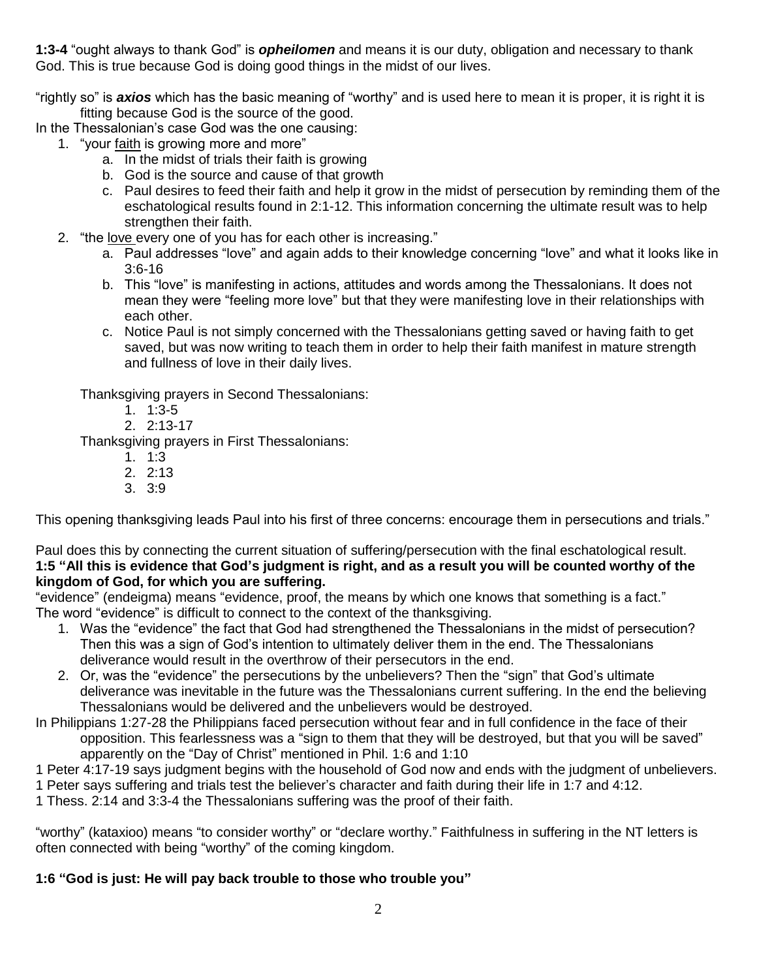**1:3-4** "ought always to thank God" is *opheilomen* and means it is our duty, obligation and necessary to thank God. This is true because God is doing good things in the midst of our lives.

"rightly so" is *axios* which has the basic meaning of "worthy" and is used here to mean it is proper, it is right it is fitting because God is the source of the good.

In the Thessalonian's case God was the one causing:

- 1. "your faith is growing more and more"
	- a. In the midst of trials their faith is growing
	- b. God is the source and cause of that growth
	- c. Paul desires to feed their faith and help it grow in the midst of persecution by reminding them of the eschatological results found in 2:1-12. This information concerning the ultimate result was to help strengthen their faith.
- 2. "the love every one of you has for each other is increasing."
	- a. Paul addresses "love" and again adds to their knowledge concerning "love" and what it looks like in 3:6-16
	- b. This "love" is manifesting in actions, attitudes and words among the Thessalonians. It does not mean they were "feeling more love" but that they were manifesting love in their relationships with each other.
	- c. Notice Paul is not simply concerned with the Thessalonians getting saved or having faith to get saved, but was now writing to teach them in order to help their faith manifest in mature strength and fullness of love in their daily lives.

Thanksgiving prayers in Second Thessalonians:

- 1. 1:3-5
- 2. 2:13-17

Thanksgiving prayers in First Thessalonians:

- 1. 1:3
- 2. 2:13
- 3. 3:9

This opening thanksgiving leads Paul into his first of three concerns: encourage them in persecutions and trials."

Paul does this by connecting the current situation of suffering/persecution with the final eschatological result. **1:5 "All this is evidence that God's judgment is right, and as a result you will be counted worthy of the kingdom of God, for which you are suffering.**

"evidence" (endeigma) means "evidence, proof, the means by which one knows that something is a fact." The word "evidence" is difficult to connect to the context of the thanksgiving.

- 1. Was the "evidence" the fact that God had strengthened the Thessalonians in the midst of persecution? Then this was a sign of God's intention to ultimately deliver them in the end. The Thessalonians deliverance would result in the overthrow of their persecutors in the end.
- 2. Or, was the "evidence" the persecutions by the unbelievers? Then the "sign" that God's ultimate deliverance was inevitable in the future was the Thessalonians current suffering. In the end the believing Thessalonians would be delivered and the unbelievers would be destroyed.
- In Philippians 1:27-28 the Philippians faced persecution without fear and in full confidence in the face of their opposition. This fearlessness was a "sign to them that they will be destroyed, but that you will be saved" apparently on the "Day of Christ" mentioned in Phil. 1:6 and 1:10
- 1 Peter 4:17-19 says judgment begins with the household of God now and ends with the judgment of unbelievers.
- 1 Peter says suffering and trials test the believer's character and faith during their life in 1:7 and 4:12.
- 1 Thess. 2:14 and 3:3-4 the Thessalonians suffering was the proof of their faith.

"worthy" (kataxioo) means "to consider worthy" or "declare worthy." Faithfulness in suffering in the NT letters is often connected with being "worthy" of the coming kingdom.

## **1:6 "God is just: He will pay back trouble to those who trouble you"**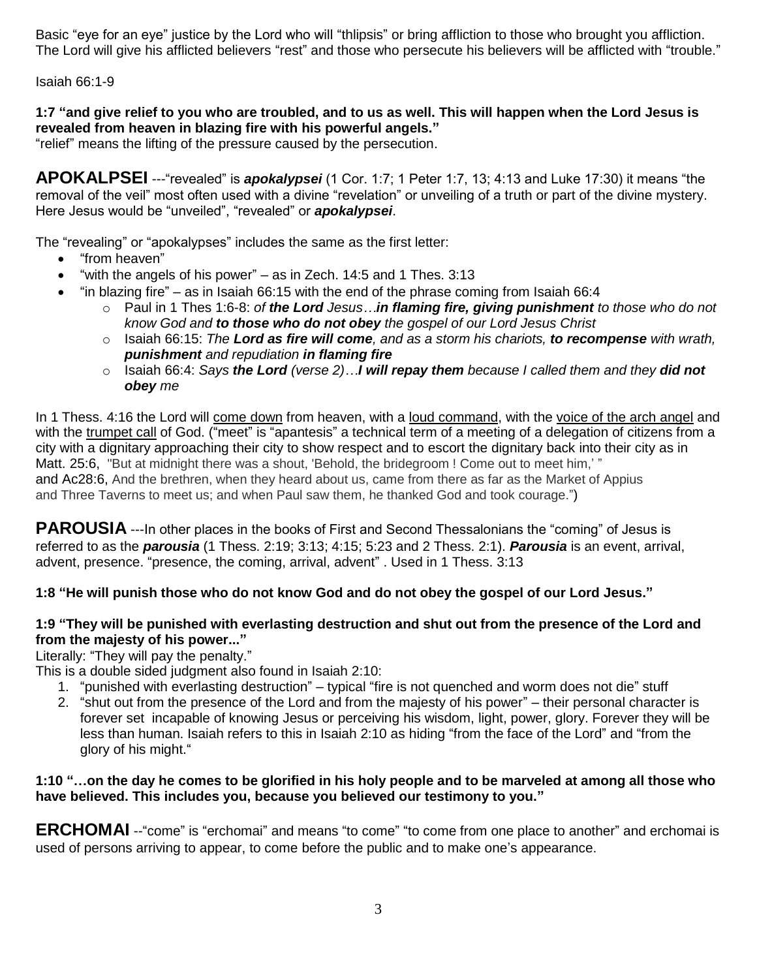Basic "eye for an eye" justice by the Lord who will "thlipsis" or bring affliction to those who brought you affliction. The Lord will give his afflicted believers "rest" and those who persecute his believers will be afflicted with "trouble."

Isaiah 66:1-9

## **1:7 "and give relief to you who are troubled, and to us as well. This will happen when the Lord Jesus is revealed from heaven in blazing fire with his powerful angels."**

"relief" means the lifting of the pressure caused by the persecution.

**APOKALPSEI** ---"revealed" is *apokalypsei* (1 Cor. 1:7; 1 Peter 1:7, 13; 4:13 and Luke 17:30) it means "the removal of the veil" most often used with a divine "revelation" or unveiling of a truth or part of the divine mystery. Here Jesus would be "unveiled", "revealed" or *apokalypsei*.

The "revealing" or "apokalypses" includes the same as the first letter:

- "from heaven"
- $\bullet$  "with the angels of his power" as in Zech. 14:5 and 1 Thes. 3:13
- $\bullet$  "in blazing fire" as in Isaiah 66:15 with the end of the phrase coming from Isaiah 66:4
	- o Paul in 1 Thes 1:6-8: *of the Lord Jesus…in flaming fire, giving punishment to those who do not know God and to those who do not obey the gospel of our Lord Jesus Christ*
	- o Isaiah 66:15: *The Lord as fire will come, and as a storm his chariots, to recompense with wrath, punishment and repudiation in flaming fire*
	- o Isaiah 66:4: *Says the Lord (verse 2)…I will repay them because I called them and they did not obey me*

In 1 Thess. 4:16 the Lord will come down from heaven, with a loud command, with the voice of the arch angel and with the trumpet call of God. ("meet" is "apantesis" a technical term of a meeting of a delegation of citizens from a city with a dignitary approaching their city to show respect and to escort the dignitary back into their city as in Matt. 25:6, "But at midnight there was a shout, 'Behold, the bridegroom ! Come out to meet him,'" and Ac28:6, And the brethren, when they heard about us, came from there as far as the Market of Appius and Three Taverns to meet us; and when Paul saw them, he thanked God and took courage.")

**PAROUSIA** ---In other places in the books of First and Second Thessalonians the "coming" of Jesus is referred to as the *parousia* (1 Thess. 2:19; 3:13; 4:15; 5:23 and 2 Thess. 2:1). *Parousia* is an event, arrival, advent, presence. "presence, the coming, arrival, advent" . Used in 1 Thess. 3:13

## **1:8 "He will punish those who do not know God and do not obey the gospel of our Lord Jesus."**

#### **1:9 "They will be punished with everlasting destruction and shut out from the presence of the Lord and from the majesty of his power..."**

Literally: "They will pay the penalty."

This is a double sided judgment also found in Isaiah 2:10:

- 1. "punished with everlasting destruction" typical "fire is not quenched and worm does not die" stuff
- 2. "shut out from the presence of the Lord and from the majesty of his power" their personal character is forever set incapable of knowing Jesus or perceiving his wisdom, light, power, glory. Forever they will be less than human. Isaiah refers to this in Isaiah 2:10 as hiding "from the face of the Lord" and "from the glory of his might."

## **1:10 "…on the day he comes to be glorified in his holy people and to be marveled at among all those who have believed. This includes you, because you believed our testimony to you."**

**ERCHOMAI** --"come" is "erchomai" and means "to come" "to come from one place to another" and erchomai is used of persons arriving to appear, to come before the public and to make one's appearance.